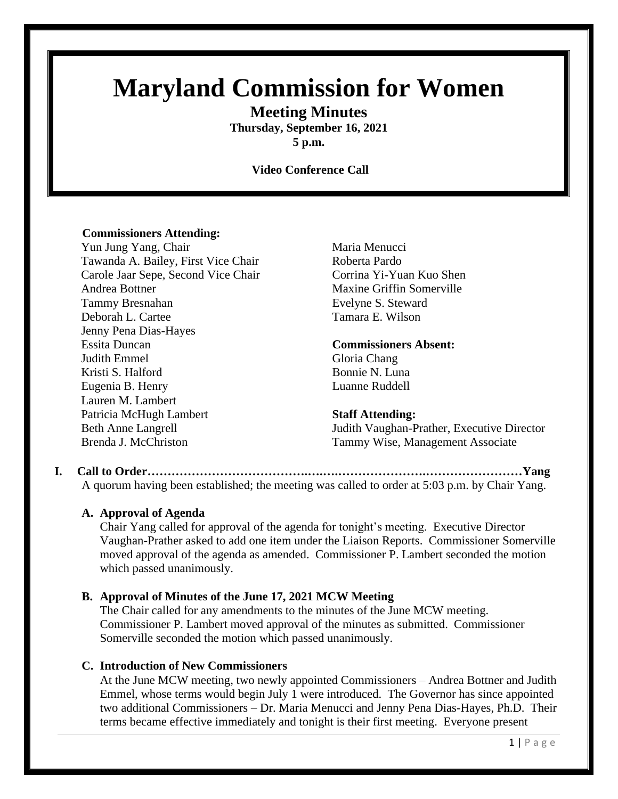# **Maryland Commission for Women**

**Meeting Minutes**

**Thursday, September 16, 2021 5 p.m.**

**Video Conference Call**

#### **Commissioners Attending:**

Yun Jung Yang, Chair Maria Menucci Tawanda A. Bailey, First Vice Chair Roberta Pardo Carole Jaar Sepe, Second Vice Chair Corrina Yi-Yuan Kuo Shen Andrea Bottner Maxine Griffin Somerville Tammy Bresnahan Evelyne S. Steward Deborah L. Cartee Tamara E. Wilson Jenny Pena Dias-Hayes Essita Duncan **Commissioners Absent:** Judith Emmel Gloria Chang Kristi S. Halford Bonnie N. Luna Eugenia B. Henry Luanne Ruddell Lauren M. Lambert Patricia McHugh Lambert **Staff Attending:** 

Beth Anne Langrell Judith Vaughan-Prather, Executive Director Brenda J. McChriston Tammy Wise, Management Associate

**I. Call to Order………………………………….….….………………….……………………Yang** A quorum having been established; the meeting was called to order at 5:03 p.m. by Chair Yang.

#### **A. Approval of Agenda**

Chair Yang called for approval of the agenda for tonight's meeting. Executive Director Vaughan-Prather asked to add one item under the Liaison Reports. Commissioner Somerville moved approval of the agenda as amended. Commissioner P. Lambert seconded the motion which passed unanimously.

#### **B. Approval of Minutes of the June 17, 2021 MCW Meeting**

The Chair called for any amendments to the minutes of the June MCW meeting. Commissioner P. Lambert moved approval of the minutes as submitted. Commissioner Somerville seconded the motion which passed unanimously.

### **C. Introduction of New Commissioners**

At the June MCW meeting, two newly appointed Commissioners – Andrea Bottner and Judith Emmel, whose terms would begin July 1 were introduced. The Governor has since appointed two additional Commissioners – Dr. Maria Menucci and Jenny Pena Dias-Hayes, Ph.D. Their terms became effective immediately and tonight is their first meeting. Everyone present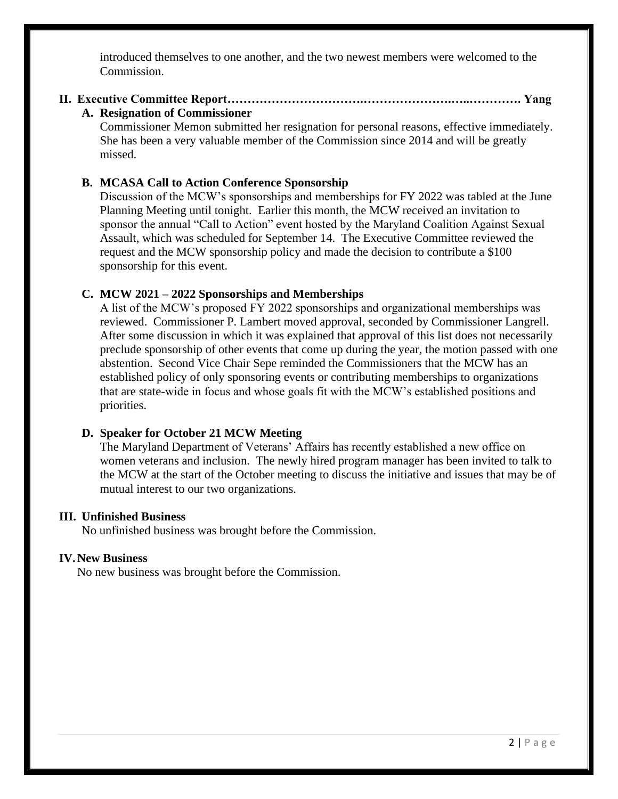introduced themselves to one another, and the two newest members were welcomed to the Commission.

## **II. Executive Committee Report…………………………….………………….…..…………. Yang**

#### **A. Resignation of Commissioner**

Commissioner Memon submitted her resignation for personal reasons, effective immediately. She has been a very valuable member of the Commission since 2014 and will be greatly missed.

#### **B. MCASA Call to Action Conference Sponsorship**

Discussion of the MCW's sponsorships and memberships for FY 2022 was tabled at the June Planning Meeting until tonight. Earlier this month, the MCW received an invitation to sponsor the annual "Call to Action" event hosted by the Maryland Coalition Against Sexual Assault, which was scheduled for September 14. The Executive Committee reviewed the request and the MCW sponsorship policy and made the decision to contribute a \$100 sponsorship for this event.

### **C. MCW 2021 – 2022 Sponsorships and Memberships**

A list of the MCW's proposed FY 2022 sponsorships and organizational memberships was reviewed. Commissioner P. Lambert moved approval, seconded by Commissioner Langrell. After some discussion in which it was explained that approval of this list does not necessarily preclude sponsorship of other events that come up during the year, the motion passed with one abstention. Second Vice Chair Sepe reminded the Commissioners that the MCW has an established policy of only sponsoring events or contributing memberships to organizations that are state-wide in focus and whose goals fit with the MCW's established positions and priorities.

#### **D. Speaker for October 21 MCW Meeting**

The Maryland Department of Veterans' Affairs has recently established a new office on women veterans and inclusion. The newly hired program manager has been invited to talk to the MCW at the start of the October meeting to discuss the initiative and issues that may be of mutual interest to our two organizations.

#### **III. Unfinished Business**

No unfinished business was brought before the Commission.

#### **IV.New Business**

No new business was brought before the Commission.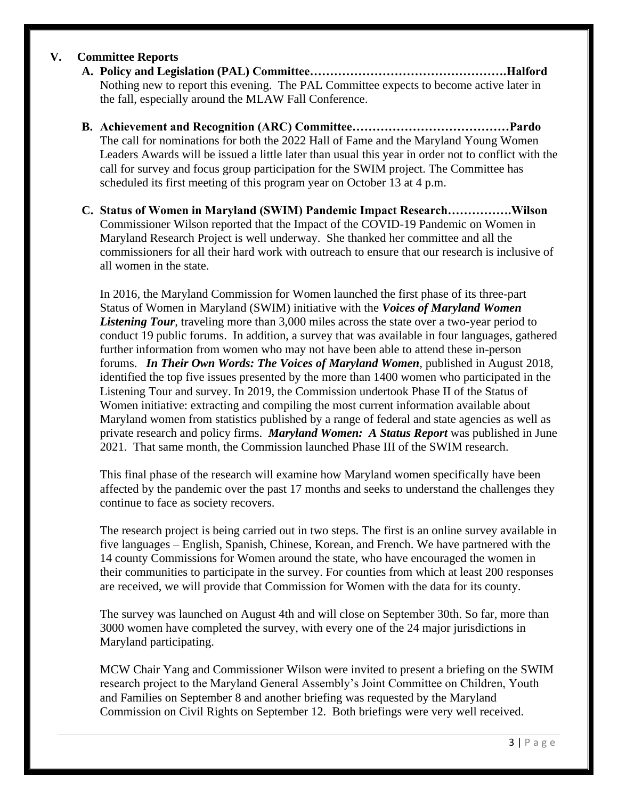#### **V. Committee Reports**

- **A. Policy and Legislation (PAL) Committee………………………………………….Halford** Nothing new to report this evening. The PAL Committee expects to become active later in the fall, especially around the MLAW Fall Conference.
- **B. Achievement and Recognition (ARC) Committee…………………………………Pardo** The call for nominations for both the 2022 Hall of Fame and the Maryland Young Women Leaders Awards will be issued a little later than usual this year in order not to conflict with the call for survey and focus group participation for the SWIM project. The Committee has scheduled its first meeting of this program year on October 13 at 4 p.m.
- **C. Status of Women in Maryland (SWIM) Pandemic Impact Research…………….Wilson** Commissioner Wilson reported that the Impact of the COVID-19 Pandemic on Women in Maryland Research Project is well underway. She thanked her committee and all the commissioners for all their hard work with outreach to ensure that our research is inclusive of all women in the state.

In 2016, the Maryland Commission for Women launched the first phase of its three-part Status of Women in Maryland (SWIM) initiative with the *Voices of Maryland Women Listening Tour*, traveling more than 3,000 miles across the state over a two-year period to conduct 19 public forums. In addition, a survey that was available in four languages, gathered further information from women who may not have been able to attend these in-person forums. *In Their Own Words: The Voices of Maryland Women*, published in August 2018, identified the top five issues presented by the more than 1400 women who participated in the Listening Tour and survey. In 2019, the Commission undertook Phase II of the Status of Women initiative: extracting and compiling the most current information available about Maryland women from statistics published by a range of federal and state agencies as well as private research and policy firms. *Maryland Women: A Status Report* was published in June 2021. That same month, the Commission launched Phase III of the SWIM research.

This final phase of the research will examine how Maryland women specifically have been affected by the pandemic over the past 17 months and seeks to understand the challenges they continue to face as society recovers.

The research project is being carried out in two steps. The first is an online survey available in five languages – English, Spanish, Chinese, Korean, and French. We have partnered with the 14 county Commissions for Women around the state, who have encouraged the women in their communities to participate in the survey. For counties from which at least 200 responses are received, we will provide that Commission for Women with the data for its county.

The survey was launched on August 4th and will close on September 30th. So far, more than 3000 women have completed the survey, with every one of the 24 major jurisdictions in Maryland participating.

MCW Chair Yang and Commissioner Wilson were invited to present a briefing on the SWIM research project to the Maryland General Assembly's Joint Committee on Children, Youth and Families on September 8 and another briefing was requested by the Maryland Commission on Civil Rights on September 12. Both briefings were very well received.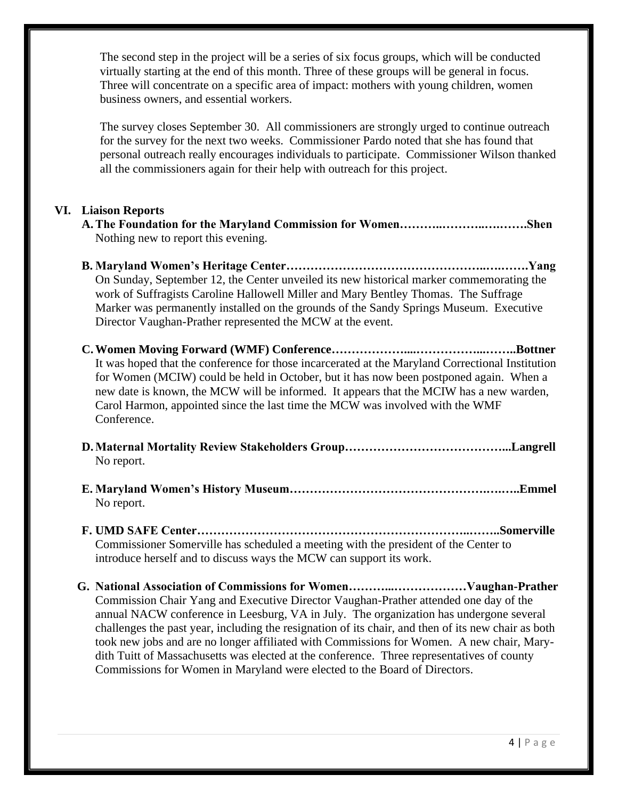The second step in the project will be a series of six focus groups, which will be conducted virtually starting at the end of this month. Three of these groups will be general in focus. Three will concentrate on a specific area of impact: mothers with young children, women business owners, and essential workers.

The survey closes September 30. All commissioners are strongly urged to continue outreach for the survey for the next two weeks. Commissioner Pardo noted that she has found that personal outreach really encourages individuals to participate. Commissioner Wilson thanked all the commissioners again for their help with outreach for this project.

#### **VI. Liaison Reports**

- **A.The Foundation for the Maryland Commission for Women………..………..….…….Shen** Nothing new to report this evening.
- **B. Maryland Women's Heritage Center…………………………………………..….…….Yang** On Sunday, September 12, the Center unveiled its new historical marker commemorating the work of Suffragists Caroline Hallowell Miller and Mary Bentley Thomas. The Suffrage Marker was permanently installed on the grounds of the Sandy Springs Museum. Executive Director Vaughan-Prather represented the MCW at the event.
- **C.Women Moving Forward (WMF) Conference………………....……………...……..Bottner** It was hoped that the conference for those incarcerated at the Maryland Correctional Institution for Women (MCIW) could be held in October, but it has now been postponed again. When a new date is known, the MCW will be informed. It appears that the MCIW has a new warden, Carol Harmon, appointed since the last time the MCW was involved with the WMF Conference.
- **D.Maternal Mortality Review Stakeholders Group…………………………………...Langrell** No report.
- **E. Maryland Women's History Museum………………………………………….….…..Emmel** No report.
- **F. UMD SAFE Center…………………………………………………………..……..Somerville** Commissioner Somerville has scheduled a meeting with the president of the Center to introduce herself and to discuss ways the MCW can support its work.
- **G. National Association of Commissions for Women………...………………Vaughan-Prather** Commission Chair Yang and Executive Director Vaughan-Prather attended one day of the annual NACW conference in Leesburg, VA in July. The organization has undergone several challenges the past year, including the resignation of its chair, and then of its new chair as both took new jobs and are no longer affiliated with Commissions for Women. A new chair, Marydith Tuitt of Massachusetts was elected at the conference. Three representatives of county Commissions for Women in Maryland were elected to the Board of Directors.